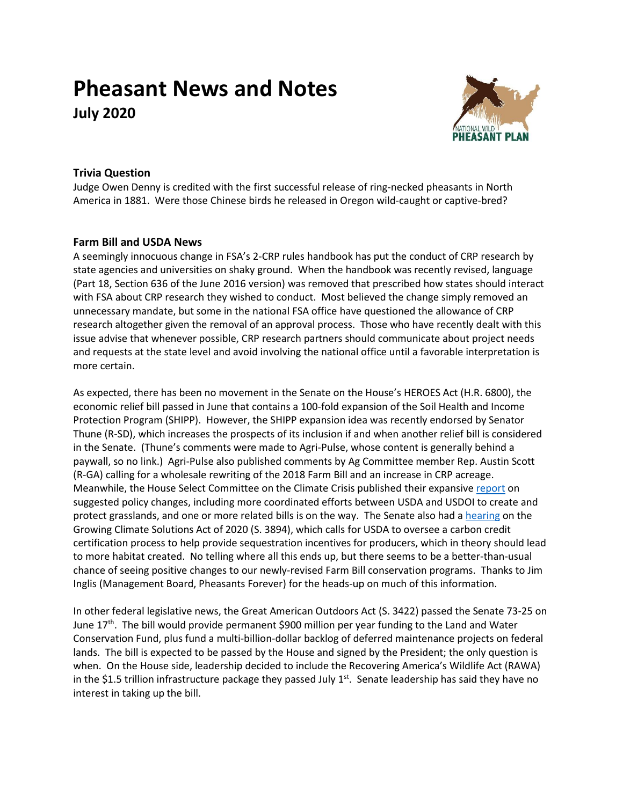# **Pheasant News and Notes July 2020**



# **Trivia Question**

Judge Owen Denny is credited with the first successful release of ring-necked pheasants in North America in 1881. Were those Chinese birds he released in Oregon wild-caught or captive-bred?

## **Farm Bill and USDA News**

A seemingly innocuous change in FSA's 2-CRP rules handbook has put the conduct of CRP research by state agencies and universities on shaky ground. When the handbook was recently revised, language (Part 18, Section 636 of the June 2016 version) was removed that prescribed how states should interact with FSA about CRP research they wished to conduct. Most believed the change simply removed an unnecessary mandate, but some in the national FSA office have questioned the allowance of CRP research altogether given the removal of an approval process. Those who have recently dealt with this issue advise that whenever possible, CRP research partners should communicate about project needs and requests at the state level and avoid involving the national office until a favorable interpretation is more certain.

As expected, there has been no movement in the Senate on the House's HEROES Act (H.R. 6800), the economic relief bill passed in June that contains a 100-fold expansion of the Soil Health and Income Protection Program (SHIPP). However, the SHIPP expansion idea was recently endorsed by Senator Thune (R-SD), which increases the prospects of its inclusion if and when another relief bill is considered in the Senate. (Thune's comments were made to Agri-Pulse, whose content is generally behind a paywall, so no link.) Agri-Pulse also published comments by Ag Committee member Rep. Austin Scott (R-GA) calling for a wholesale rewriting of the 2018 Farm Bill and an increase in CRP acreage. Meanwhile, the House Select Committee on the Climate Crisis published their expansive [report](https://climatecrisis.house.gov/report) on suggested policy changes, including more coordinated efforts between USDA and USDOI to create and protect grasslands, and one or more related bills is on the way. The Senate also had [a hearing](https://www.agriculture.senate.gov/hearings/legislative-hearing-to-review-s-3894-the-growing-climate-solutions-act-of-2020) on the Growing Climate Solutions Act of 2020 (S. 3894), which calls for USDA to oversee a carbon credit certification process to help provide sequestration incentives for producers, which in theory should lead to more habitat created. No telling where all this ends up, but there seems to be a better-than-usual chance of seeing positive changes to our newly-revised Farm Bill conservation programs. Thanks to Jim Inglis (Management Board, Pheasants Forever) for the heads-up on much of this information.

In other federal legislative news, the Great American Outdoors Act (S. 3422) passed the Senate 73-25 on June 17<sup>th</sup>. The bill would provide permanent \$900 million per year funding to the Land and Water Conservation Fund, plus fund a multi-billion-dollar backlog of deferred maintenance projects on federal lands. The bill is expected to be passed by the House and signed by the President; the only question is when. On the House side, leadership decided to include the Recovering America's Wildlife Act (RAWA) in the \$1.5 trillion infrastructure package they passed July 1<sup>st</sup>. Senate leadership has said they have no interest in taking up the bill.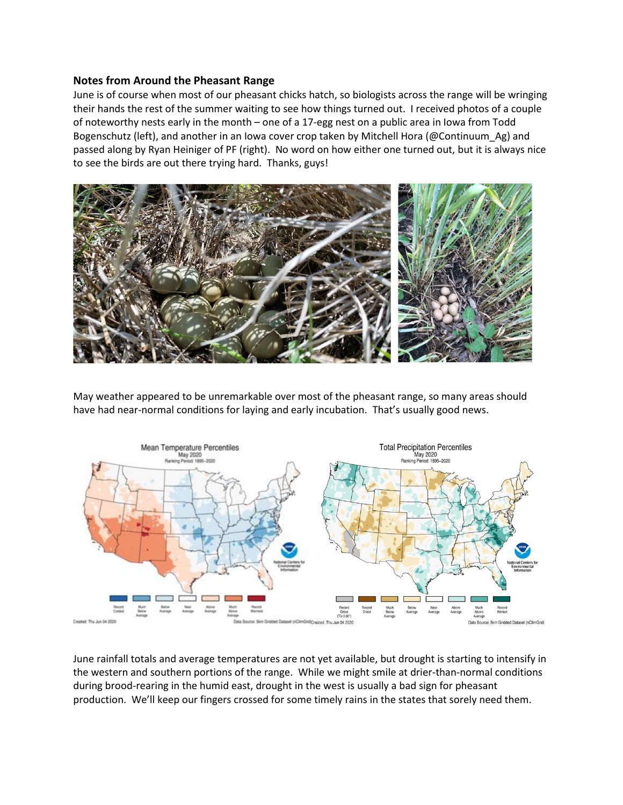#### **Notes from Around the Pheasant Range**

June is of course when most of our pheasant chicks hatch, so biologists across the range will be wringing their hands the rest of the summer waiting to see how things turned out. I received photos of a couple of noteworthy nests early in the month – one of a 17-egg nest on a public area in Iowa from Todd Bogenschutz (left), and another in an Iowa cover crop taken by Mitchell Hora (@Continuum\_Ag) and passed along by Ryan Heiniger of PF (right). No word on how either one turned out, but it is always nice to see the birds are out there trying hard. Thanks, guys!



May weather appeared to be unremarkable over most of the pheasant range, so many areas should have had near-normal conditions for laying and early incubation. That's usually good news.



June rainfall totals and average temperatures are not yet available, but drought is starting to intensify in the western and southern portions of the range. While we might smile at drier-than-normal conditions during brood-rearing in the humid east, drought in the west is usually a bad sign for pheasant production. We'll keep our fingers crossed for some timely rains in the states that sorely need them.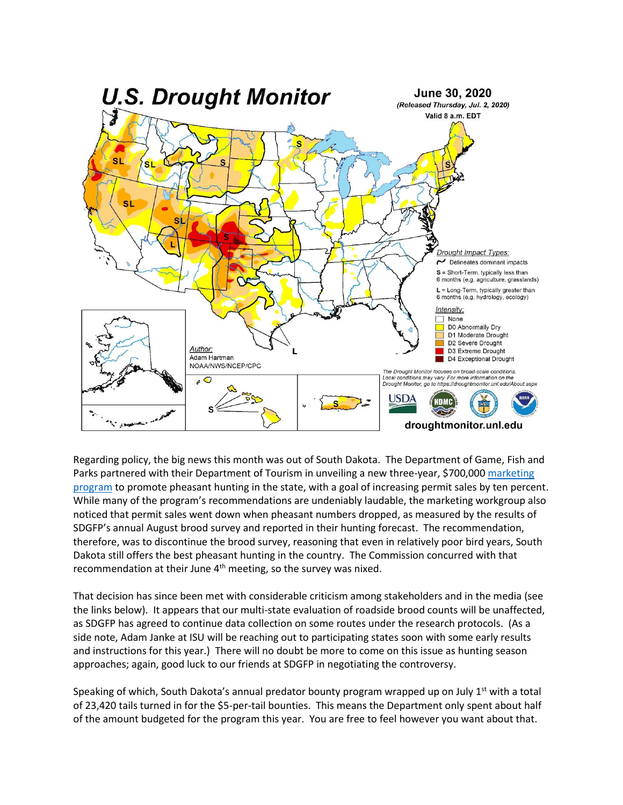

Regarding policy, the big news this month was out of South Dakota. The Department of Game, Fish and Parks partnered with their Department of Tourism in unveiling a new three-year, \$700,000 marketing [program](https://gfp.sd.gov/news/detail/1396/) to promote pheasant hunting in the state, with a goal of increasing permit sales by ten percent. While many of the program's recommendations are undeniably laudable, the marketing workgroup also noticed that permit sales went down when pheasant numbers dropped, as measured by the results of SDGFP's annual August brood survey and reported in their hunting forecast. The recommendation, therefore, was to discontinue the brood survey, reasoning that even in relatively poor bird years, South Dakota still offers the best pheasant hunting in the country. The Commission concurred with that recommendation at their June  $4<sup>th</sup>$  meeting, so the survey was nixed.

That decision has since been met with considerable criticism among stakeholders and in the media (see the links below). It appears that our multi-state evaluation of roadside brood counts will be unaffected, as SDGFP has agreed to continue data collection on some routes under the research protocols. (As a side note, Adam Janke at ISU will be reaching out to participating states soon with some early results and instructions for this year.) There will no doubt be more to come on this issue as hunting season approaches; again, good luck to our friends at SDGFP in negotiating the controversy.

Speaking of which, South Dakota's annual predator bounty program wrapped up on July  $1<sup>st</sup>$  with a total of 23,420 tails turned in for the \$5-per-tail bounties. This means the Department only spent about half of the amount budgeted for the program this year. You are free to feel however you want about that.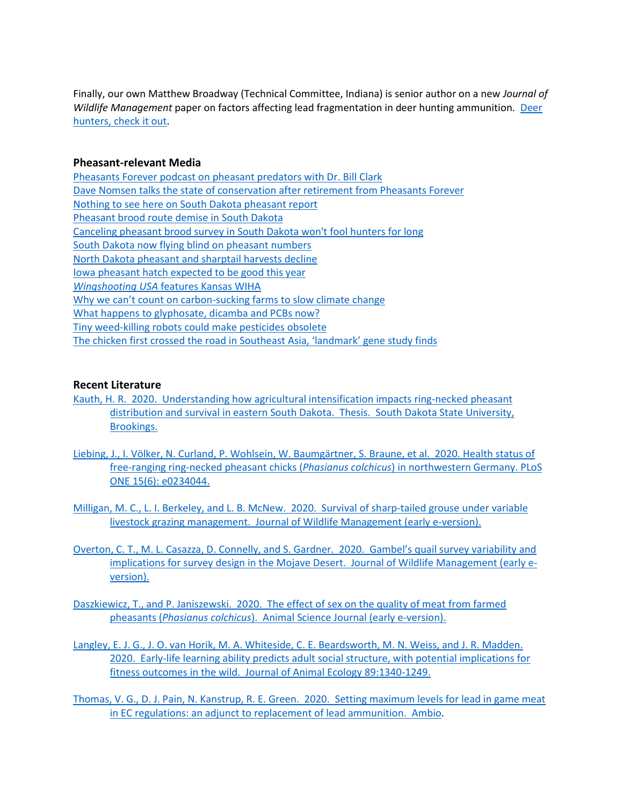Finally, our own Matthew Broadway (Technical Committee, Indiana) is senior author on a new *Journal of Wildlife Management* paper on factors affecting lead fragmentation in deer hunting ammunition. [Deer](https://doi.org/10.1002/jwmg.21917)  [hunters, check it out.](https://doi.org/10.1002/jwmg.21917)

## **Pheasant-relevant Media**

Pheasants Forever [podcast on pheasant predators with Dr. Bill Clark](https://www.pheasantsforever.org/BlogLanding/Blogs/Pheasants-Forever/Podcast-Ep-73-Pheasant-Predators-with-Dr-Bill-Clark.aspx?_cldee=c3RheWxvckBwaGVhc2FudHNmb3JldmVyLm9yZw%3d%3d&recipientid=contact-b849bae7f13ee811a834000d3a37c0db-a092ce1a247b40d89950af3da604bb76&esid=22e6654e-e4af-ea11-a812-000d3a5a9caa) [Dave Nomsen talks the state of conservation after retirement from Pheasants Forever](https://www.echopress.com/sports/outdoors/6535997-Alexandria%E2%80%99s-Dave-Nomsen-talks-the-state-of-conservation-after-retirement-from-Pheasants-Forever) [Nothing to see here on South Dakota pheasant report](https://www.mitchellrepublic.com/opinion/editorials/6527870-Our-view-Nothing-to-see-here-on-pheasant-report) [Pheasant brood route demise in South Dakota](https://www.capjournal.com/opinions/letter-to-the-editor---pheasant-brood-route-demise/article_9a70ca5e-ace7-11ea-8a2e-6b1b0a3f2de0.html) [Canceling pheasant brood survey in South Dakota won't fool hunters for long](https://www.startribune.com/anderson-canceling-pheasant-brood-survey-in-south-dakota-won-t-fool-hunters-for-long/571522492/) [South Dakota now flying blind on pheasant numbers](https://www.capjournal.com/community/s-d-now-flying-blind-on-pheasant-numbers/article_e0660de8-ab53-11ea-b690-3fae09de3dc7.html) [North Dakota pheasant and sharptail harvests decline](https://www.grandforksherald.com/sports/outdoors/6526521-North-Dakota-pheasant-and-sharptail-harvests-decline-while-Hungarian-partridge-success-holds-steady-Game-and-Fish-says) [Iowa pheasant hatch expected to be good this year](https://www.radioiowa.com/2020/06/17/pheasant-hatch-expected-to-be-good-this-year/) *Wingshooting USA* [features Kansas WIHA](https://www.youtube.com/watch?v=3F64xrhQTVo) Why we can't count on carbon[-sucking farms to slow climate change](https://www.technologyreview.com/2020/06/03/1002484/why-we-cant-count-on-carbon-sucking-farms-to-slow-climate-change/) [What happens to glyphosate, dicamba and PCBs now?](https://www.agweb.com/article/what-happens-glyphosate-dicamba-and-pcbs-now) [Tiny weed-killing robots could make pesticides obsolete](https://onezero.medium.com/tiny-weed-killing-robots-could-make-pesticides-obsolete-99b3a6359c39) [The chicken first crossed the road in Southeast Asia, 'landmark' gene study finds](https://www.sciencemag.org/news/2020/06/chicken-first-crossed-road-southeast-asia-landmark-gene-study-finds)

## **Recent Literature**

- [Kauth, H. R. 2020. Understanding how agricultural intensification impacts ring-necked pheasant](https://openprairie.sdstate.edu/cgi/viewcontent.cgi?article=4978&context=etd)  distribution and survival in eastern South Dakota. Thesis. South Dakota State University, [Brookings.](https://openprairie.sdstate.edu/cgi/viewcontent.cgi?article=4978&context=etd)
- Liebing, J., I. [Völker, N. Curland, P. Wohlsein, W. Baumgärtner, S. Braune, et al. 2020.](https://doi.org/10.1371/journal.pone.0234044) Health status of [free-ranging ring-necked pheasant chicks \(](https://doi.org/10.1371/journal.pone.0234044)*Phasianus colchicus*) in northwestern Germany. PLoS [ONE 15\(6\): e0234044.](https://doi.org/10.1371/journal.pone.0234044)
- [Milligan, M. C., L. I. Berkeley, and L. B. McNew. 2020. Survival of sharp-tailed grouse under variable](https://doi.org/10.1002/jwmg.21909)  [livestock grazing management. Journal of Wildlife Management \(early e-version\).](https://doi.org/10.1002/jwmg.21909)
- [Overton, C. T., M. L. Casazza, D. Connelly, and S. Gardner. 2020. Gambel's quail survey va](https://doi.org/10.1002/wsb.1105)riability and [implications for survey design in the Mojave Desert. Journal of Wildlife Management \(early e](https://doi.org/10.1002/wsb.1105)[version\).](https://doi.org/10.1002/wsb.1105)
- [Daszkiewicz, T., and P. Janiszewski. 2020. The effect of sex on the quality of meat from farmed](https://doi.org/10.1111/asj.13404)  pheasants (*Phasianus colchicus*[\). Animal Science Journal](https://doi.org/10.1111/asj.13404) (early e-version).
- [Langley, E. J. G., J. O. van Horik, M. A. Whiteside, C. E. Beardsworth, M. N. Weiss, and J. R. Madden.](https://doi.org/10.1111/1365-2656.13194)  [2020. Early-life learning ability predicts adult social structure, with potential implications for](https://doi.org/10.1111/1365-2656.13194)  [fitness outcomes in the wild. Journal of Animal Ecology 89:1340-1249.](https://doi.org/10.1111/1365-2656.13194)
- [Thomas, V. G., D. J. Pain, N. Kanstrup, R. E. Green. 2020. Setting maximum levels for lead in game meat](https://doi.org/10.1007/s13280-020-01336-6)  [in EC regulations: an adjunct to replacement of lead ammunition. Ambio.](https://doi.org/10.1007/s13280-020-01336-6)